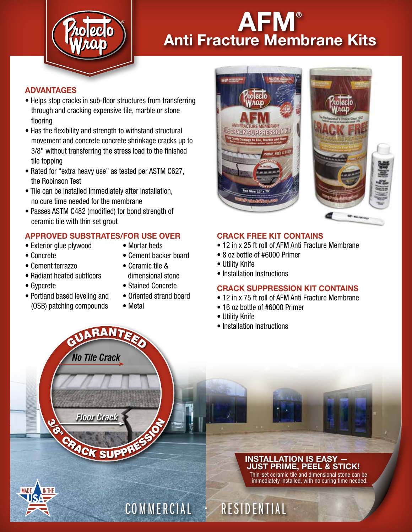

# AFM® Anti Fracture Membrane Kits

## ADVANTAGES

- Helps stop cracks in sub-floor structures from transferring through and cracking expensive tile, marble or stone flooring
- Has the flexibility and strength to withstand structural movement and concrete concrete shrinkage cracks up to 3/8" without transferring the stress load to the finished tile topping
- Rated for "extra heavy use" as tested per ASTM C627, the Robinson Test
- Tile can be installed immediately after installation, no cure time needed for the membrane
- Passes ASTM C482 (modified) for bond strength of ceramic tile with thin set grout

# APPROVED SUBSTRATES/FOR USE OVER

*No Tile Crack*

GUARANTEED

- Exterior glue plywood Mortar beds
- 

- 
- Concrete Cement backer board
- Cement terrazzo Ceramic tile &
- Radiant heated subfloors dimensional stone
- 
- Portland based leveling and Oriented strand board (OSB) patching compounds • Metal
- 
- Gypcrete Stained Concrete
	-
	-



## CRACK FREE KIT CONTAINS

- 12 in x 25 ft roll of AFM Anti Fracture Membrane
- 8 oz bottle of #6000 Primer
- Utility Knife
- Installation Instructions

# CRACK SUPPRESSION KIT CONTAINS

- 12 in x 75 ft roll of AFM Anti Fracture Membrane
- 16 oz bottle of #6000 Primer
- Utility Knife

COMMERCIAL • RESIDENTIAL

• Installation Instructions